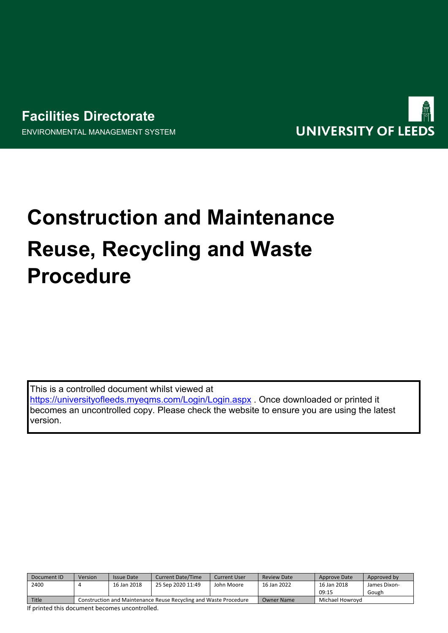# **Facilities Directorate** ENVIRONMENTAL MANAGEMENT SYSTEM



# **Construction and Maintenance Reuse, Recycling and Waste Procedure**

This is a controlled document whilst viewed at <https://universityofleeds.myeqms.com/Login/Login.aspx> . Once downloaded or printed it becomes an uncontrolled copy. Please check the website to ensure you are using the latest

| Document ID  | Version                                                          | Issue Date  | <b>Current Date/Time</b> | <b>Current User</b> | <b>Review Date</b> | Approve Date    | Approved by  |
|--------------|------------------------------------------------------------------|-------------|--------------------------|---------------------|--------------------|-----------------|--------------|
| 2400         |                                                                  | 16 Jan 2018 | 25 Sep 2020 11:49        | John Moore          | 16 Jan 2022        | 16 Jan 2018     | James Dixon- |
|              |                                                                  |             |                          |                     |                    | 09:15           | Gough        |
| <b>Title</b> | Construction and Maintenance Reuse Recycling and Waste Procedure |             |                          |                     | <b>Owner Name</b>  | Michael Howrovd |              |

If printed this document becomes uncontrolled.

version.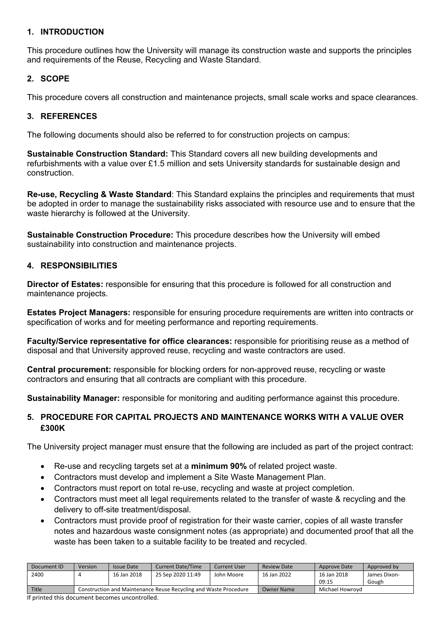#### **1. INTRODUCTION**

This procedure outlines how the University will manage its construction waste and supports the principles and requirements of the Reuse, Recycling and Waste Standard.

#### **2. SCOPE**

This procedure covers all construction and maintenance projects, small scale works and space clearances.

#### **3. REFERENCES**

The following documents should also be referred to for construction projects on campus:

**Sustainable Construction Standard:** This Standard covers all new building developments and refurbishments with a value over £1.5 million and sets University standards for sustainable design and construction.

**Re-use, Recycling & Waste Standard**: This Standard explains the principles and requirements that must be adopted in order to manage the sustainability risks associated with resource use and to ensure that the waste hierarchy is followed at the University.

**Sustainable Construction Procedure:** This procedure describes how the University will embed sustainability into construction and maintenance projects.

#### **4. RESPONSIBILITIES**

**Director of Estates:** responsible for ensuring that this procedure is followed for all construction and maintenance projects.

**Estates Project Managers:** responsible for ensuring procedure requirements are written into contracts or specification of works and for meeting performance and reporting requirements.

**Faculty/Service representative for office clearances:** responsible for prioritising reuse as a method of disposal and that University approved reuse, recycling and waste contractors are used.

**Central procurement:** responsible for blocking orders for non-approved reuse, recycling or waste contractors and ensuring that all contracts are compliant with this procedure.

**Sustainability Manager:** responsible for monitoring and auditing performance against this procedure.

## **5. PROCEDURE FOR CAPITAL PROJECTS AND MAINTENANCE WORKS WITH A VALUE OVER £300K**

The University project manager must ensure that the following are included as part of the project contract:

- Re-use and recycling targets set at a **minimum 90%** of related project waste.
- Contractors must develop and implement a Site Waste Management Plan.
- Contractors must report on total re-use, recycling and waste at project completion.
- Contractors must meet all legal requirements related to the transfer of waste & recycling and the delivery to off-site treatment/disposal.
- Contractors must provide proof of registration for their waste carrier, copies of all waste transfer notes and hazardous waste consignment notes (as appropriate) and documented proof that all the waste has been taken to a suitable facility to be treated and recycled.

| Document ID | Version                                                          | <b>Issue Date</b> | <b>Current Date/Time</b> | <b>Current User</b> | <b>Review Date</b> | Approve Date    | Approved by  |
|-------------|------------------------------------------------------------------|-------------------|--------------------------|---------------------|--------------------|-----------------|--------------|
| 2400        |                                                                  | 16 Jan 2018       | 25 Sep 2020 11:49        | John Moore          | 16 Jan 2022        | 16 Jan 2018     | James Dixon- |
|             |                                                                  |                   |                          |                     |                    | 09:15           | Gough        |
| Title       | Construction and Maintenance Reuse Recycling and Waste Procedure |                   |                          |                     | <b>Owner Name</b>  | Michael Howrovd |              |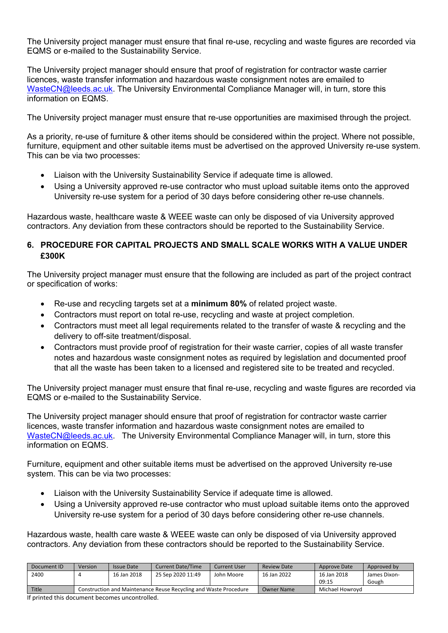The University project manager must ensure that final re-use, recycling and waste figures are recorded via EQMS or e-mailed to the Sustainability Service.

The University project manager should ensure that proof of registration for contractor waste carrier licences, waste transfer information and hazardous waste consignment notes are emailed to [WasteCN@leeds.ac.uk.](mailto:WasteCN@leeds.ac.uk) The University Environmental Compliance Manager will, in turn, store this information on EQMS.

The University project manager must ensure that re-use opportunities are maximised through the project.

As a priority, re-use of furniture & other items should be considered within the project. Where not possible, furniture, equipment and other suitable items must be advertised on the approved University re-use system. This can be via two processes:

- Liaison with the University Sustainability Service if adequate time is allowed.
- Using a University approved re-use contractor who must upload suitable items onto the approved University re-use system for a period of 30 days before considering other re-use channels.

Hazardous waste, healthcare waste & WEEE waste can only be disposed of via University approved contractors. Any deviation from these contractors should be reported to the Sustainability Service.

#### **6. PROCEDURE FOR CAPITAL PROJECTS AND SMALL SCALE WORKS WITH A VALUE UNDER £300K**

The University project manager must ensure that the following are included as part of the project contract or specification of works:

- Re-use and recycling targets set at a **minimum 80%** of related project waste.
- Contractors must report on total re-use, recycling and waste at project completion.
- Contractors must meet all legal requirements related to the transfer of waste & recycling and the delivery to off-site treatment/disposal.
- Contractors must provide proof of registration for their waste carrier, copies of all waste transfer notes and hazardous waste consignment notes as required by legislation and documented proof that all the waste has been taken to a licensed and registered site to be treated and recycled.

The University project manager must ensure that final re-use, recycling and waste figures are recorded via EQMS or e-mailed to the Sustainability Service.

The University project manager should ensure that proof of registration for contractor waste carrier licences, waste transfer information and hazardous waste consignment notes are emailed to [WasteCN@leeds.ac.uk.](mailto:WasteCN@leeds.ac.uk) The University Environmental Compliance Manager will, in turn, store this information on EQMS.

Furniture, equipment and other suitable items must be advertised on the approved University re-use system. This can be via two processes:

- Liaison with the University Sustainability Service if adequate time is allowed.
- Using a University approved re-use contractor who must upload suitable items onto the approved University re-use system for a period of 30 days before considering other re-use channels.

Hazardous waste, health care waste & WEEE waste can only be disposed of via University approved contractors. Any deviation from these contractors should be reported to the Sustainability Service.

| Document ID  | Version                                                          | Issue Date  | <b>Current Date/Time</b> | Current User | <b>Review Date</b> | Approve Date    | Approved by  |
|--------------|------------------------------------------------------------------|-------------|--------------------------|--------------|--------------------|-----------------|--------------|
| 2400         |                                                                  | 16 Jan 2018 | 25 Sep 2020 11:49        | John Moore   | 16 Jan 2022        | 16 Jan 2018     | James Dixon- |
|              |                                                                  |             |                          |              |                    | 09:15           | Gough        |
| <b>Title</b> | Construction and Maintenance Reuse Recycling and Waste Procedure |             |                          |              | Owner Name         | Michael Howrovd |              |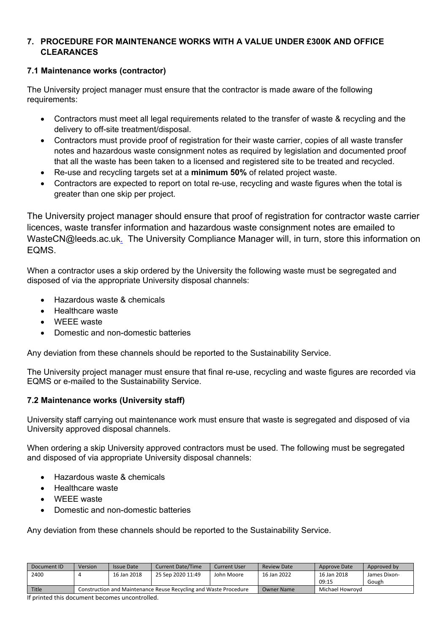## **7. PROCEDURE FOR MAINTENANCE WORKS WITH A VALUE UNDER £300K AND OFFICE CLEARANCES**

## **7.1 Maintenance works (contractor)**

The University project manager must ensure that the contractor is made aware of the following requirements:

- Contractors must meet all legal requirements related to the transfer of waste & recycling and the delivery to off-site treatment/disposal.
- Contractors must provide proof of registration for their waste carrier, copies of all waste transfer notes and hazardous waste consignment notes as required by legislation and documented proof that all the waste has been taken to a licensed and registered site to be treated and recycled.
- Re-use and recycling targets set at a **minimum 50%** of related project waste.
- Contractors are expected to report on total re-use, recycling and waste figures when the total is greater than one skip per project.

The University project manager should ensure that proof of registration for contractor waste carrier licences, waste transfer information and hazardous waste consignment notes are emailed to WasteCN@leeds.ac.uk[.](mailto:safety@leeds.ac.uk) The University Compliance Manager will, in turn, store this information on EQMS.

When a contractor uses a skip ordered by the University the following waste must be segregated and disposed of via the appropriate University disposal channels:

- Hazardous waste & chemicals
- Healthcare waste
- WEEE waste
- Domestic and non-domestic batteries

Any deviation from these channels should be reported to the Sustainability Service.

The University project manager must ensure that final re-use, recycling and waste figures are recorded via EQMS or e-mailed to the Sustainability Service.

## **7.2 Maintenance works (University staff)**

University staff carrying out maintenance work must ensure that waste is segregated and disposed of via University approved disposal channels.

When ordering a skip University approved contractors must be used. The following must be segregated and disposed of via appropriate University disposal channels:

- Hazardous waste & chemicals
- Healthcare waste
- WEEE waste
- Domestic and non-domestic batteries

Any deviation from these channels should be reported to the Sustainability Service.

| Document ID | Version                                                          | <b>Issue Date</b> | <b>Current Date/Time</b> | <b>Current User</b> | Review Date | Approve Date    | Approved by  |
|-------------|------------------------------------------------------------------|-------------------|--------------------------|---------------------|-------------|-----------------|--------------|
| 2400        |                                                                  | 16 Jan 2018       | 25 Sep 2020 11:49        | John Moore          | 16 Jan 2022 | 16 Jan 2018     | James Dixon- |
|             |                                                                  |                   |                          |                     |             | 09:15           | Gough        |
| Title       | Construction and Maintenance Reuse Recycling and Waste Procedure |                   |                          |                     | Owner Name  | Michael Howrovd |              |